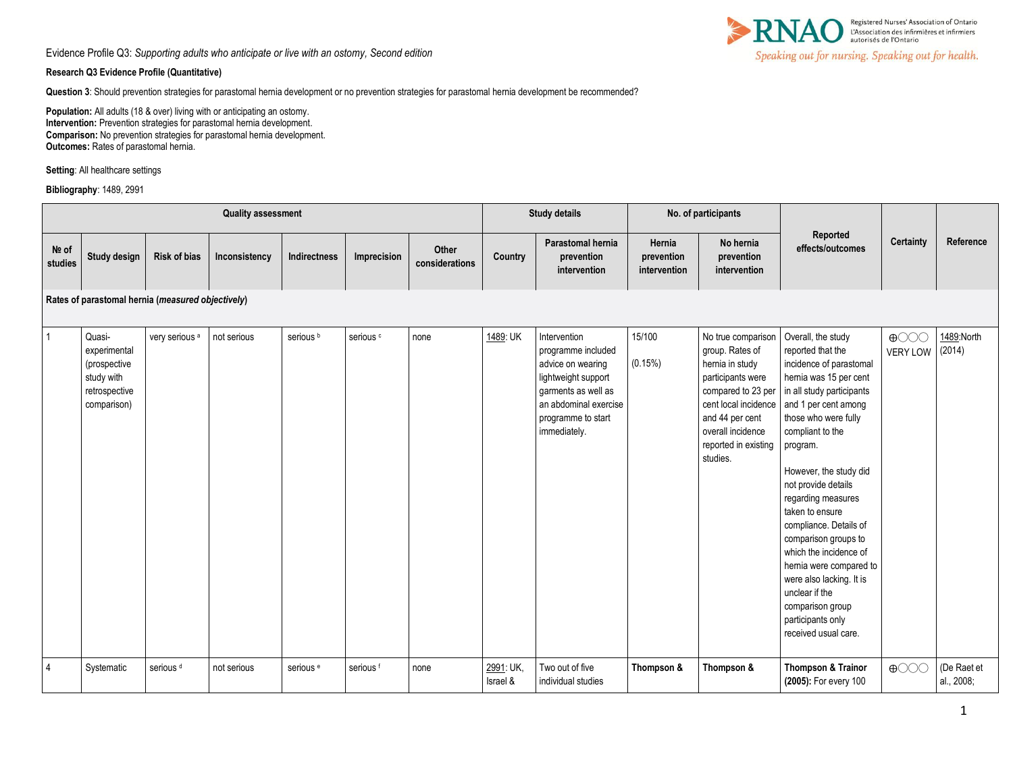

## **Research Q3 Evidence Profile (Quantitative)**

**Question 3**: Should prevention strategies for parastomal hernia development or no prevention strategies for parastomal hernia development be recommended?

**Population:** All adults (18 & over) living with or anticipating an ostomy. **Intervention:** Prevention strategies for parastomal hernia development. **Comparison:** No prevention strategies for parastomal hernia development. **Outcomes:** Rates of parastomal hernia.

**Setting**: All healthcare settings

**Bibliography**: 1489, 2991

| <b>Quality assessment</b> |                                                                                      |                           |               |                      | <b>Study details</b> |                         | No. of participants   |                                                                                                                                                                      |                                      |                                                                                                                                                                                                         |                                                                                                                                                                                                                                                                                                                                                                                                                                                                                                                           |                                                      |                           |
|---------------------------|--------------------------------------------------------------------------------------|---------------------------|---------------|----------------------|----------------------|-------------------------|-----------------------|----------------------------------------------------------------------------------------------------------------------------------------------------------------------|--------------------------------------|---------------------------------------------------------------------------------------------------------------------------------------------------------------------------------------------------------|---------------------------------------------------------------------------------------------------------------------------------------------------------------------------------------------------------------------------------------------------------------------------------------------------------------------------------------------------------------------------------------------------------------------------------------------------------------------------------------------------------------------------|------------------------------------------------------|---------------------------|
| Nº of<br>studies          | Study design                                                                         | <b>Risk of bias</b>       | Inconsistency | Indirectness         | Imprecision          | Other<br>considerations | Country               | Parastomal hernia<br>prevention<br>intervention                                                                                                                      | Hernia<br>prevention<br>intervention | No hernia<br>prevention<br>intervention                                                                                                                                                                 | Reported<br>effects/outcomes                                                                                                                                                                                                                                                                                                                                                                                                                                                                                              | <b>Certainty</b>                                     | Reference                 |
|                           | Rates of parastomal hernia (measured objectively)                                    |                           |               |                      |                      |                         |                       |                                                                                                                                                                      |                                      |                                                                                                                                                                                                         |                                                                                                                                                                                                                                                                                                                                                                                                                                                                                                                           |                                                      |                           |
| 1                         | Quasi-<br>experimental<br>(prospective<br>study with<br>retrospective<br>comparison) | very serious <sup>a</sup> | not serious   | serious <sup>b</sup> | serious <sup>c</sup> | none                    | 1489: UK              | Intervention<br>programme included<br>advice on wearing<br>lightweight support<br>garments as well as<br>an abdominal exercise<br>programme to start<br>immediately. | 15/100<br>(0.15%)                    | No true comparison<br>group. Rates of<br>hernia in study<br>participants were<br>compared to 23 per<br>cent local incidence<br>and 44 per cent<br>overall incidence<br>reported in existing<br>studies. | Overall, the study<br>reported that the<br>incidence of parastomal<br>hernia was 15 per cent<br>in all study participants<br>and 1 per cent among<br>those who were fully<br>compliant to the<br>program.<br>However, the study did<br>not provide details<br>regarding measures<br>taken to ensure<br>compliance. Details of<br>comparison groups to<br>which the incidence of<br>hernia were compared to<br>were also lacking. It is<br>unclear if the<br>comparison group<br>participants only<br>received usual care. | $\bigoplus$ $\bigodot$ $\bigodot$<br><b>VERY LOW</b> | 1489:North<br>(2014)      |
| 4                         | Systematic                                                                           | serious <sup>d</sup>      | not serious   | serious <sup>e</sup> | serious <sup>f</sup> | none                    | 2991: UK,<br>Israel & | Two out of five<br>individual studies                                                                                                                                | Thompson &                           | Thompson &                                                                                                                                                                                              | <b>Thompson &amp; Trainor</b><br>(2005): For every 100                                                                                                                                                                                                                                                                                                                                                                                                                                                                    | $\bigoplus$                                          | (De Raet et<br>al., 2008; |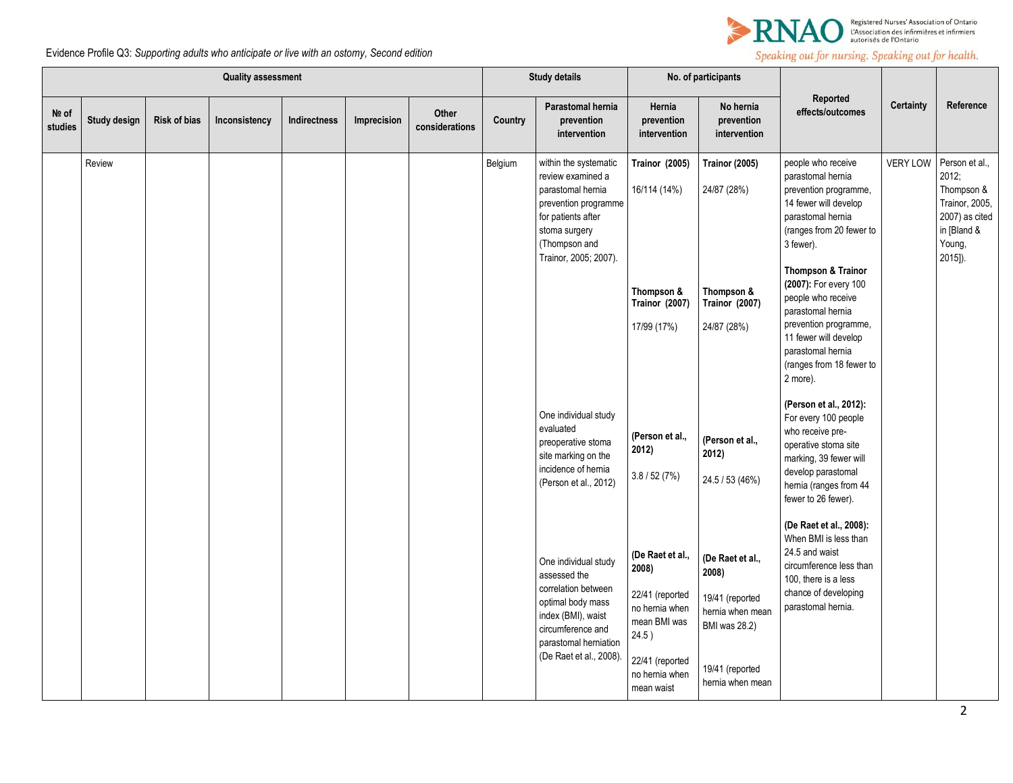

Speaking out for nursing. Speaking out for health.

Evidence Profile Q3: *Supporting adults who anticipate or live with an ostomy, Second edition*

| <b>Quality assessment</b> |              |                     |               |              |             | <b>Study details</b>    |         | No. of participants                                                                                                                                                             |                                                                                                                                          |                                                                                                                                 |                                                                                                                                                                                             |                 |                                                                                                               |
|---------------------------|--------------|---------------------|---------------|--------------|-------------|-------------------------|---------|---------------------------------------------------------------------------------------------------------------------------------------------------------------------------------|------------------------------------------------------------------------------------------------------------------------------------------|---------------------------------------------------------------------------------------------------------------------------------|---------------------------------------------------------------------------------------------------------------------------------------------------------------------------------------------|-----------------|---------------------------------------------------------------------------------------------------------------|
| Nº of<br>studies          | Study design | <b>Risk of bias</b> | Inconsistency | Indirectness | Imprecision | Other<br>considerations | Country | Parastomal hernia<br>prevention<br>intervention                                                                                                                                 | Hernia<br>prevention<br>intervention                                                                                                     | No hernia<br>prevention<br>intervention                                                                                         | Reported<br>effects/outcomes                                                                                                                                                                | Certainty       | Reference                                                                                                     |
|                           | Review       |                     |               |              |             |                         | Belgium | within the systematic<br>review examined a<br>parastomal hernia<br>prevention programme<br>for patients after<br>stoma surgery<br>(Thompson and<br>Trainor, 2005; 2007).        | Trainor (2005)<br>16/114 (14%)                                                                                                           | <b>Trainor (2005)</b><br>24/87 (28%)                                                                                            | people who receive<br>parastomal hernia<br>prevention programme,<br>14 fewer will develop<br>parastomal hernia<br>(ranges from 20 fewer to<br>3 fewer).<br><b>Thompson &amp; Trainor</b>    | <b>VERY LOW</b> | Person et al.,<br>2012;<br>Thompson &<br>Trainor, 2005,<br>2007) as cited<br>in [Bland &<br>Young,<br>2015]). |
|                           |              |                     |               |              |             |                         |         |                                                                                                                                                                                 | Thompson &<br><b>Trainor (2007)</b><br>17/99 (17%)                                                                                       | Thompson &<br><b>Trainor (2007)</b><br>24/87 (28%)                                                                              | (2007): For every 100<br>people who receive<br>parastomal hernia<br>prevention programme,<br>11 fewer will develop<br>parastomal hernia<br>(ranges from 18 fewer to<br>2 more).             |                 |                                                                                                               |
|                           |              |                     |               |              |             |                         |         | One individual study<br>evaluated<br>preoperative stoma<br>site marking on the<br>incidence of hernia<br>(Person et al., 2012)                                                  | (Person et al.,<br>2012)<br>3.8 / 52 (7%)                                                                                                | (Person et al.,<br>2012)<br>24.5 / 53 (46%)                                                                                     | (Person et al., 2012):<br>For every 100 people<br>who receive pre-<br>operative stoma site<br>marking, 39 fewer will<br>develop parastomal<br>hernia (ranges from 44<br>fewer to 26 fewer). |                 |                                                                                                               |
|                           |              |                     |               |              |             |                         |         | One individual study<br>assessed the<br>correlation between<br>optimal body mass<br>index (BMI), waist<br>circumference and<br>parastomal herniation<br>(De Raet et al., 2008). | (De Raet et al.,<br>2008)<br>22/41 (reported<br>no hemia when<br>mean BMI was<br>24.5)<br>22/41 (reported<br>no hemia when<br>mean waist | (De Raet et al.,<br>2008)<br>19/41 (reported<br>hernia when mean<br><b>BMI</b> was 28.2)<br>19/41 (reported<br>hernia when mean | (De Raet et al., 2008):<br>When BMI is less than<br>24.5 and waist<br>circumference less than<br>100, there is a less<br>chance of developing<br>parastomal hernia.                         |                 |                                                                                                               |